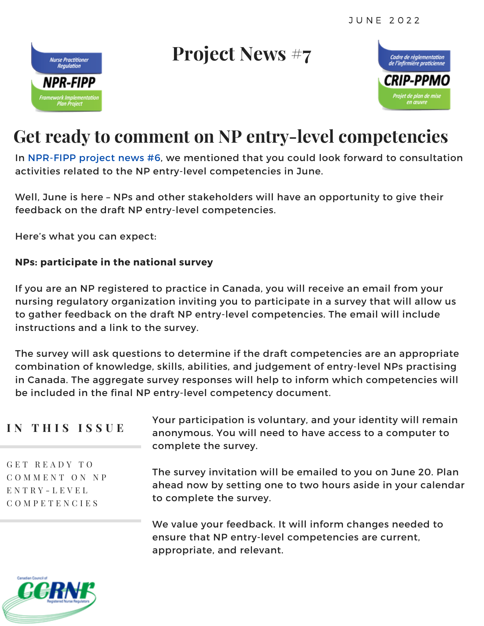

# **Project News #7**



## **Get ready to comment on NP entry-level competencies**

In [NPR-FIPP](http://www.ccrnr.ca/assets/english-_npr-fipp-project-update--6-final---may-03-.pdf) project news #6, we mentioned that you could look forward to consultation activities related to the NP entry-level competencies in June.

Well, June is here – NPs and other stakeholders will have an opportunity to give their feedback on the draft NP entry-level competencies.

Here's what you can expect:

#### **NPs: participate in the national survey**

If you are an NP registered to practice in Canada, you will receive an email from your nursing regulatory organization inviting you to participate in a survey that will allow us to gather feedback on the draft NP entry-level competencies. The email will include instructions and a link to the survey.

The survey will ask questions to determine if the draft competencies are an appropriate combination of knowledge, skills, abilities, and judgement of entry-level NPs practising in Canada. The aggregate survey responses will help to inform which competencies will be included in the final NP entry-level competency document.

### **I N T H I S I S S U E**

G E T R E A D Y T O C O M M E N T O N N P E N T R Y - L E V E L C O M P E T E N C I E S

Your participation is voluntary, and your identity will remain anonymous. You will need to have access to a computer to complete the survey.

The survey invitation will be emailed to you on June 20. Plan ahead now by setting one to two hours aside in your calendar to complete the survey.

We value your feedback. It will inform changes needed to ensure that NP entry-level competencies are current, appropriate, and relevant.